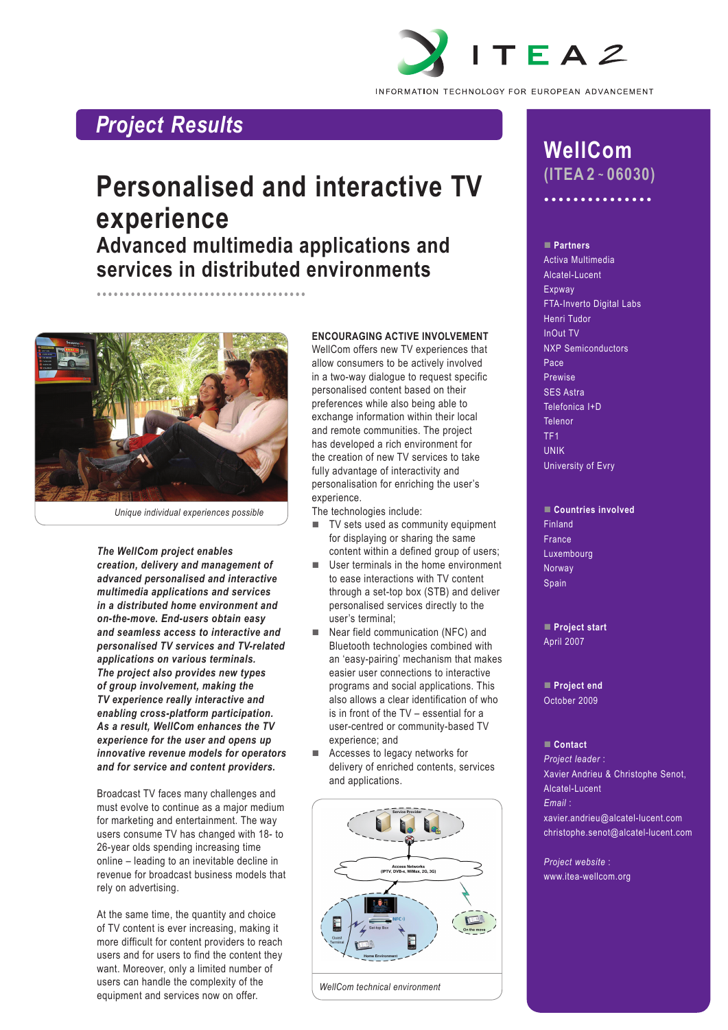

# *Project Results*

# **Personalised and interactive TV experience Advanced multimedia applications and services in distributed environments**



*Unique individual experiences possible*

•••••••••••••••••••••••••••••••••••••

*The WellCom project enables creation, delivery and management of advanced personalised and interactive multimedia applications and services in a distributed home environment and on-the-move. End-users obtain easy and seamless access to interactive and personalised TV services and TV-related applications on various terminals. The project also provides new types of group involvement, making the TV experience really interactive and enabling cross-platform participation. As a result, WellCom enhances the TV experience for the user and opens up innovative revenue models for operators and for service and content providers.*

Broadcast TV faces many challenges and must evolve to continue as a major medium for marketing and entertainment. The way users consume TV has changed with 18- to 26-year olds spending increasing time online – leading to an inevitable decline in revenue for broadcast business models that rely on advertising.

At the same time, the quantity and choice of TV content is ever increasing, making it more difficult for content providers to reach users and for users to find the content they want. Moreover, only a limited number of users can handle the complexity of the equipment and services now on offer.

# **Encouraging active involvement**

WellCom offers new TV experiences that allow consumers to be actively involved in a two-way dialogue to request specific personalised content based on their preferences while also being able to exchange information within their local and remote communities. The project has developed a rich environment for the creation of new TV services to take fully advantage of interactivity and personalisation for enriching the user's experience.

The technologies include:

- $\blacksquare$  TV sets used as community equipment for displaying or sharing the same content within a defined group of users;
- $\blacksquare$  User terminals in the home environment to ease interactions with TV content through a set-top box (STB) and deliver personalised services directly to the user's terminal;
- $\blacksquare$  Near field communication (NFC) and Bluetooth technologies combined with an 'easy-pairing' mechanism that makes easier user connections to interactive programs and social applications. This also allows a clear identification of who is in front of the TV – essential for a user-centred or community-based TV experience; and
- Accesses to legacy networks for delivery of enriched contents, services and applications.



*WellCom technical environment*

# **WellCom (ITEA 2 ~ 06030)**

•••••••••••••••

## n **Partners**

Activa Multimedia Alcatel-Lucent Expway FTA-Inverto Digital Labs Henri Tudor InOut TV NXP Semiconductors Pace Prewise SES Astra Telefonica I+D Telenor TF1 UNIK University of Evry

#### n **Countries involved** Finland

France Luxembourg Norway Spain

**Project start** April 2007

**Project end** October 2009

#### ■ Contact

*Project leader* : Xavier Andrieu & Christophe Senot, Alcatel-Lucent *Email* : xavier.andrieu@alcatel-lucent.com

christophe.senot@alcatel-lucent.com

*Project website* : www.itea-wellcom.org